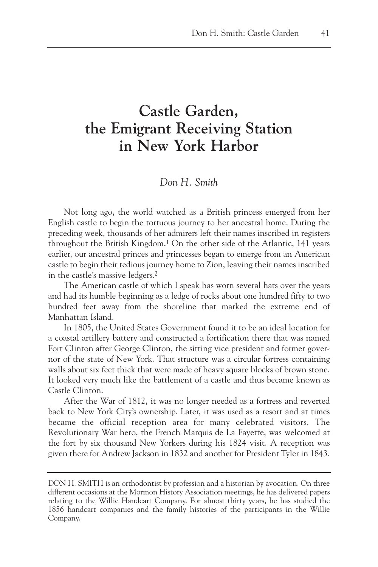## **Castle Garden, the Emigrant Receiving Station in New York Harbor**

## *Don H. Smith*

Not long ago, the world watched as a British princess emerged from her English castle to begin the tortuous journey to her ancestral home. During the preceding week, thousands of her admirers left their names inscribed in registers throughout the British Kingdom.1 On the other side of the Atlantic, 141 years earlier, our ancestral princes and princesses began to emerge from an American castle to begin their tedious journey home to Zion, leaving their names inscribed in the castle's massive ledgers.2

The American castle of which I speak has worn several hats over the years and had its humble beginning as a ledge of rocks about one hundred fifty to two hundred feet away from the shoreline that marked the extreme end of Manhattan Island.

In 1805, the United States Government found it to be an ideal location for a coastal artillery battery and constructed a fortification there that was named Fort Clinton after George Clinton, the sitting vice president and former governor of the state of New York. That structure was a circular fortress containing walls about six feet thick that were made of heavy square blocks of brown stone. It looked very much like the battlement of a castle and thus became known as Castle Clinton.

After the War of 1812, it was no longer needed as a fortress and reverted back to New York City's ownership. Later, it was used as a resort and at times became the official reception area for many celebrated visitors. The Revolutionary War hero, the French Marquis de La Fayette, was welcomed at the fort by six thousand New Yorkers during his 1824 visit. A reception was given there for Andrew Jackson in 1832 and another for President Tyler in 1843.

DON H. SMITH is an orthodontist by profession and a historian by avocation. On three different occasions at the Mormon History Association meetings, he has delivered papers relating to the Willie Handcart Company. For almost thirty years, he has studied the 1856 handcart companies and the family histories of the participants in the Willie Company.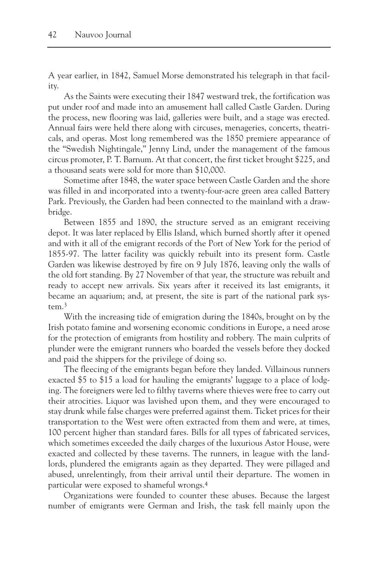A year earlier, in 1842, Samuel Morse demonstrated his telegraph in that facility.

As the Saints were executing their 1847 westward trek, the fortification was put under roof and made into an amusement hall called Castle Garden. During the process, new flooring was laid, galleries were built, and a stage was erected. Annual fairs were held there along with circuses, menageries, concerts, theatricals, and operas. Most long remembered was the 1850 premiere appearance of the "Swedish Nightingale," Jenny Lind, under the management of the famous circus promoter, P. T. Barnum. At that concert, the first ticket brought \$225, and a thousand seats were sold for more than \$10,000.

Sometime after 1848, the water space between Castle Garden and the shore was filled in and incorporated into a twenty-four-acre green area called Battery Park. Previously, the Garden had been connected to the mainland with a drawbridge.

Between 1855 and 1890, the structure served as an emigrant receiving depot. It was later replaced by Ellis Island, which burned shortly after it opened and with it all of the emigrant records of the Port of New York for the period of 1855-97. The latter facility was quickly rebuilt into its present form. Castle Garden was likewise destroyed by fire on 9 July 1876, leaving only the walls of the old fort standing. By 27 November of that year, the structure was rebuilt and ready to accept new arrivals. Six years after it received its last emigrants, it became an aquarium; and, at present, the site is part of the national park system.3

With the increasing tide of emigration during the 1840s, brought on by the Irish potato famine and worsening economic conditions in Europe, a need arose for the protection of emigrants from hostility and robbery. The main culprits of plunder were the emigrant runners who boarded the vessels before they docked and paid the shippers for the privilege of doing so.

The fleecing of the emigrants began before they landed. Villainous runners exacted \$5 to \$15 a load for hauling the emigrants' luggage to a place of lodging. The foreigners were led to filthy taverns where thieves were free to carry out their atrocities. Liquor was lavished upon them, and they were encouraged to stay drunk while false charges were preferred against them. Ticket prices for their transportation to the West were often extracted from them and were, at times, 100 percent higher than standard fares. Bills for all types of fabricated services, which sometimes exceeded the daily charges of the luxurious Astor House, were exacted and collected by these taverns. The runners, in league with the landlords, plundered the emigrants again as they departed. They were pillaged and abused, unrelentingly, from their arrival until their departure. The women in particular were exposed to shameful wrongs.4

Organizations were founded to counter these abuses. Because the largest number of emigrants were German and Irish, the task fell mainly upon the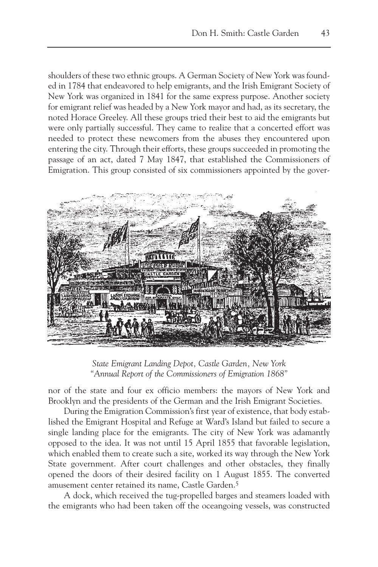shoulders of these two ethnic groups. A German Society of New York was founded in 1784 that endeavored to help emigrants, and the Irish Emigrant Society of New York was organized in 1841 for the same express purpose. Another society for emigrant relief was headed by a New York mayor and had, as its secretary, the noted Horace Greeley. All these groups tried their best to aid the emigrants but were only partially successful. They came to realize that a concerted effort was needed to protect these newcomers from the abuses they encountered upon entering the city. Through their efforts, these groups succeeded in promoting the passage of an act, dated 7 May 1847, that established the Commissioners of Emigration. This group consisted of six commissioners appointed by the gover-



*State Emigrant Landing Depot, Castle Garden, New York "Annual Report of the Commissioners of Emigration 1868"*

nor of the state and four ex officio members: the mayors of New York and Brooklyn and the presidents of the German and the Irish Emigrant Societies.

During the Emigration Commission's first year of existence, that body established the Emigrant Hospital and Refuge at Ward's Island but failed to secure a single landing place for the emigrants. The city of New York was adamantly opposed to the idea. It was not until 15 April 1855 that favorable legislation, which enabled them to create such a site, worked its way through the New York State government. After court challenges and other obstacles, they finally opened the doors of their desired facility on 1 August 1855. The converted amusement center retained its name, Castle Garden.5

A dock, which received the tug-propelled barges and steamers loaded with the emigrants who had been taken off the oceangoing vessels, was constructed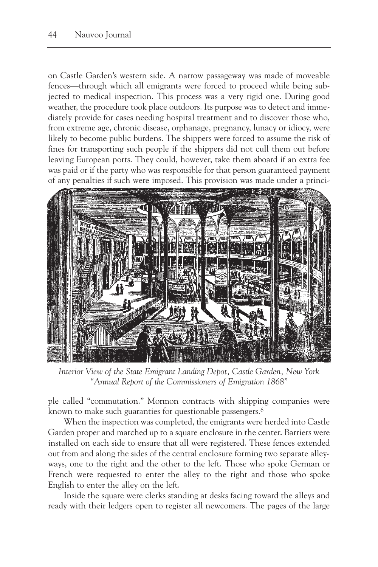on Castle Garden's western side. A narrow passageway was made of moveable fences—through which all emigrants were forced to proceed while being subjected to medical inspection. This process was a very rigid one. During good weather, the procedure took place outdoors. Its purpose was to detect and immediately provide for cases needing hospital treatment and to discover those who, from extreme age, chronic disease, orphanage, pregnancy, lunacy or idiocy, were likely to become public burdens. The shippers were forced to assume the risk of fines for transporting such people if the shippers did not cull them out before leaving European ports. They could, however, take them aboard if an extra fee was paid or if the party who was responsible for that person guaranteed payment of any penalties if such were imposed. This provision was made under a princi-



*Interior View of the State Emigrant Landing Depot, Castle Garden, New York "Annual Report of the Commissioners of Emigration 1868"*

ple called "commutation." Mormon contracts with shipping companies were known to make such guaranties for questionable passengers.<sup>6</sup>

When the inspection was completed, the emigrants were herded into Castle Garden proper and marched up to a square enclosure in the center. Barriers were installed on each side to ensure that all were registered. These fences extended out from and along the sides of the central enclosure forming two separate alleyways, one to the right and the other to the left. Those who spoke German or French were requested to enter the alley to the right and those who spoke English to enter the alley on the left.

Inside the square were clerks standing at desks facing toward the alleys and ready with their ledgers open to register all newcomers. The pages of the large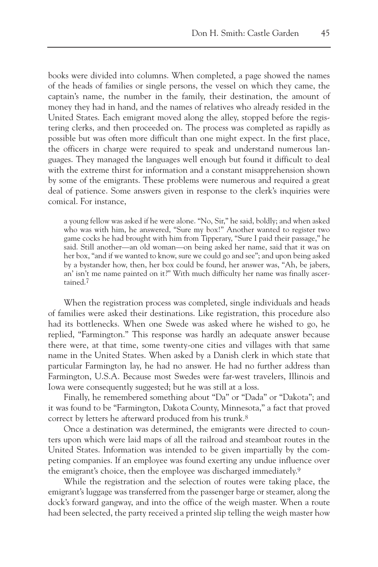books were divided into columns. When completed, a page showed the names of the heads of families or single persons, the vessel on which they came, the captain's name, the number in the family, their destination, the amount of money they had in hand, and the names of relatives who already resided in the United States. Each emigrant moved along the alley, stopped before the registering clerks, and then proceeded on. The process was completed as rapidly as possible but was often more difficult than one might expect. In the first place, the officers in charge were required to speak and understand numerous languages. They managed the languages well enough but found it difficult to deal with the extreme thirst for information and a constant misapprehension shown by some of the emigrants. These problems were numerous and required a great deal of patience. Some answers given in response to the clerk's inquiries were comical. For instance,

a young fellow was asked if he were alone. "No, Sir," he said, boldly; and when asked who was with him, he answered, "Sure my box!" Another wanted to register two game cocks he had brought with him from Tipperary, "Sure I paid their passage," he said. Still another—an old woman—on being asked her name, said that it was on her box, "and if we wanted to know, sure we could go and see"; and upon being asked by a bystander how, then, her box could be found, her answer was, "Ah, be jabers, an' isn't me name painted on it?" With much difficulty her name was finally ascertained.7

When the registration process was completed, single individuals and heads of families were asked their destinations. Like registration, this procedure also had its bottlenecks. When one Swede was asked where he wished to go, he replied, "Farmington." This response was hardly an adequate answer because there were, at that time, some twenty-one cities and villages with that same name in the United States. When asked by a Danish clerk in which state that particular Farmington lay, he had no answer. He had no further address than Farmington, U.S.A. Because most Swedes were far-west travelers, Illinois and Iowa were consequently suggested; but he was still at a loss.

Finally, he remembered something about "Da" or "Dada" or "Dakota"; and it was found to be "Farmington, Dakota County, Minnesota," a fact that proved correct by letters he afterward produced from his trunk.8

Once a destination was determined, the emigrants were directed to counters upon which were laid maps of all the railroad and steamboat routes in the United States. Information was intended to be given impartially by the competing companies. If an employee was found exerting any undue influence over the emigrant's choice, then the employee was discharged immediately.9

While the registration and the selection of routes were taking place, the emigrant's luggage was transferred from the passenger barge or steamer, along the dock's forward gangway, and into the office of the weigh master. When a route had been selected, the party received a printed slip telling the weigh master how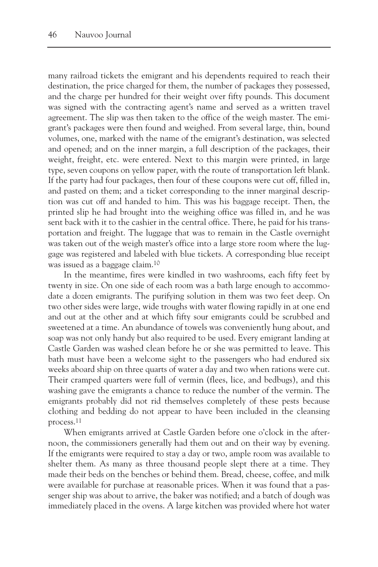many railroad tickets the emigrant and his dependents required to reach their destination, the price charged for them, the number of packages they possessed, and the charge per hundred for their weight over fifty pounds. This document was signed with the contracting agent's name and served as a written travel agreement. The slip was then taken to the office of the weigh master. The emigrant's packages were then found and weighed. From several large, thin, bound volumes, one, marked with the name of the emigrant's destination, was selected and opened; and on the inner margin, a full description of the packages, their weight, freight, etc. were entered. Next to this margin were printed, in large type, seven coupons on yellow paper, with the route of transportation left blank. If the party had four packages, then four of these coupons were cut off, filled in, and pasted on them; and a ticket corresponding to the inner marginal description was cut off and handed to him. This was his baggage receipt. Then, the printed slip he had brought into the weighing office was filled in, and he was sent back with it to the cashier in the central office. There, he paid for his transportation and freight. The luggage that was to remain in the Castle overnight was taken out of the weigh master's office into a large store room where the luggage was registered and labeled with blue tickets. A corresponding blue receipt was issued as a baggage claim.10

In the meantime, fires were kindled in two washrooms, each fifty feet by twenty in size. On one side of each room was a bath large enough to accommodate a dozen emigrants. The purifying solution in them was two feet deep. On two other sides were large, wide troughs with water flowing rapidly in at one end and out at the other and at which fifty sour emigrants could be scrubbed and sweetened at a time. An abundance of towels was conveniently hung about, and soap was not only handy but also required to be used. Every emigrant landing at Castle Garden was washed clean before he or she was permitted to leave. This bath must have been a welcome sight to the passengers who had endured six weeks aboard ship on three quarts of water a day and two when rations were cut. Their cramped quarters were full of vermin (flees, lice, and bedbugs), and this washing gave the emigrants a chance to reduce the number of the vermin. The emigrants probably did not rid themselves completely of these pests because clothing and bedding do not appear to have been included in the cleansing process.11

When emigrants arrived at Castle Garden before one o'clock in the afternoon, the commissioners generally had them out and on their way by evening. If the emigrants were required to stay a day or two, ample room was available to shelter them. As many as three thousand people slept there at a time. They made their beds on the benches or behind them. Bread, cheese, coffee, and milk were available for purchase at reasonable prices. When it was found that a passenger ship was about to arrive, the baker was notified; and a batch of dough was immediately placed in the ovens. A large kitchen was provided where hot water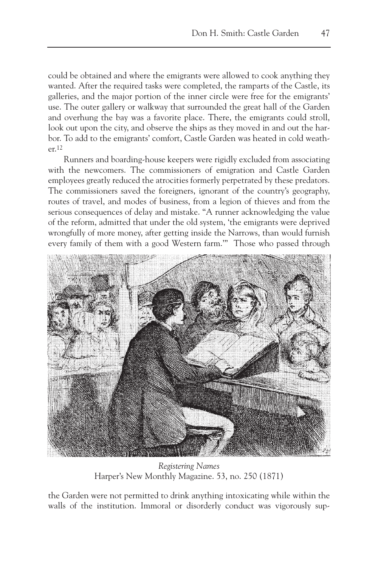could be obtained and where the emigrants were allowed to cook anything they wanted. After the required tasks were completed, the ramparts of the Castle, its galleries, and the major portion of the inner circle were free for the emigrants' use. The outer gallery or walkway that surrounded the great hall of the Garden and overhung the bay was a favorite place. There, the emigrants could stroll, look out upon the city, and observe the ships as they moved in and out the harbor. To add to the emigrants' comfort, Castle Garden was heated in cold weather.12

Runners and boarding-house keepers were rigidly excluded from associating with the newcomers. The commissioners of emigration and Castle Garden employees greatly reduced the atrocities formerly perpetrated by these predators. The commissioners saved the foreigners, ignorant of the country's geography, routes of travel, and modes of business, from a legion of thieves and from the serious consequences of delay and mistake. "A runner acknowledging the value of the reform, admitted that under the old system, 'the emigrants were deprived wrongfully of more money, after getting inside the Narrows, than would furnish every family of them with a good Western farm.'" Those who passed through



*Registering Names* Harper's New Monthly Magazine. 53, no. 250 (1871)

the Garden were not permitted to drink anything intoxicating while within the walls of the institution. Immoral or disorderly conduct was vigorously sup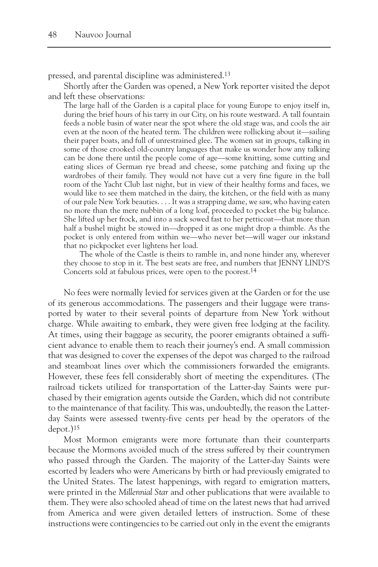pressed, and parental discipline was administered.13

Shortly after the Garden was opened, a New York reporter visited the depot and left these observations:

The large hall of the Garden is a capital place for young Europe to enjoy itself in, during the brief hours of his tarry in our City, on his route westward. A tall fountain feeds a noble basin of water near the spot where the old stage was, and cools the air even at the noon of the heated term. The children were rollicking about it—sailing their paper boats, and full of unrestrained glee. The women sat in groups, talking in some of those crooked old-country languages that make us wonder how any talking can be done there until the people come of age—some knitting, some cutting and eating slices of German rye bread and cheese, some patching and fixing up the wardrobes of their family. They would not have cut a very fine figure in the ball room of the Yacht Club last night, but in view of their healthy forms and faces, we would like to see them matched in the dairy, the kitchen, or the field with as many of our pale New York beauties. . . . It was a strapping dame, we saw, who having eaten no more than the mere nubbin of a long loaf, proceeded to pocket the big balance. She lifted up her frock, and into a sack sowed fast to her petticoat—that more than half a bushel might be stowed in—dropped it as one might drop a thimble. As the pocket is only entered from within we—who never bet—will wager our inkstand that no pickpocket ever lightens her load.

The whole of the Castle is theirs to ramble in, and none hinder any, wherever they choose to stop in it. The best seats are free, and numbers that JENNY LIND'S Concerts sold at fabulous prices, were open to the poorest.14

No fees were normally levied for services given at the Garden or for the use of its generous accommodations. The passengers and their luggage were transported by water to their several points of departure from New York without charge. While awaiting to embark, they were given free lodging at the facility. At times, using their baggage as security, the poorer emigrants obtained a sufficient advance to enable them to reach their journey's end. A small commission that was designed to cover the expenses of the depot was charged to the railroad and steamboat lines over which the commissioners forwarded the emigrants. However, these fees fell considerably short of meeting the expenditures. (The railroad tickets utilized for transportation of the Latter-day Saints were purchased by their emigration agents outside the Garden, which did not contribute to the maintenance of that facility. This was, undoubtedly, the reason the Latterday Saints were assessed twenty-five cents per head by the operators of the depot.)15

Most Mormon emigrants were more fortunate than their counterparts because the Mormons avoided much of the stress suffered by their countrymen who passed through the Garden. The majority of the Latter-day Saints were escorted by leaders who were Americans by birth or had previously emigrated to the United States. The latest happenings, with regard to emigration matters, were printed in the *Millennial Star* and other publications that were available to them. They were also schooled ahead of time on the latest news that had arrived from America and were given detailed letters of instruction. Some of these instructions were contingencies to be carried out only in the event the emigrants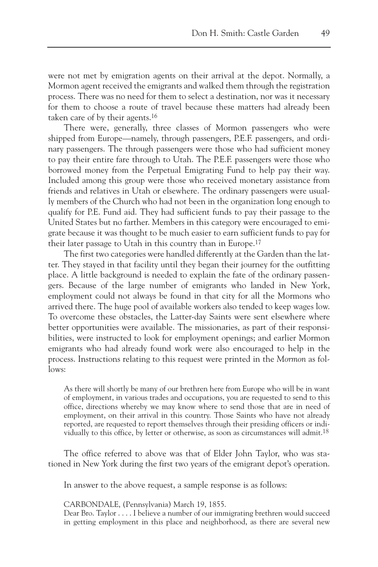were not met by emigration agents on their arrival at the depot. Normally, a Mormon agent received the emigrants and walked them through the registration process. There was no need for them to select a destination, nor was it necessary for them to choose a route of travel because these matters had already been taken care of by their agents.16

There were, generally, three classes of Mormon passengers who were shipped from Europe—namely, through passengers, P.E.F. passengers, and ordinary passengers. The through passengers were those who had sufficient money to pay their entire fare through to Utah. The P.E.F. passengers were those who borrowed money from the Perpetual Emigrating Fund to help pay their way. Included among this group were those who received monetary assistance from friends and relatives in Utah or elsewhere. The ordinary passengers were usually members of the Church who had not been in the organization long enough to qualify for P.E. Fund aid. They had sufficient funds to pay their passage to the United States but no farther. Members in this category were encouraged to emigrate because it was thought to be much easier to earn sufficient funds to pay for their later passage to Utah in this country than in Europe.17

The first two categories were handled differently at the Garden than the latter. They stayed in that facility until they began their journey for the outfitting place. A little background is needed to explain the fate of the ordinary passengers. Because of the large number of emigrants who landed in New York, employment could not always be found in that city for all the Mormons who arrived there. The huge pool of available workers also tended to keep wages low. To overcome these obstacles, the Latter-day Saints were sent elsewhere where better opportunities were available. The missionaries, as part of their responsibilities, were instructed to look for employment openings; and earlier Mormon emigrants who had already found work were also encouraged to help in the process. Instructions relating to this request were printed in the *Mormon* as follows:

As there will shortly be many of our brethren here from Europe who will be in want of employment, in various trades and occupations, you are requested to send to this office, directions whereby we may know where to send those that are in need of employment, on their arrival in this country. Those Saints who have not already reported, are requested to report themselves through their presiding officers or individually to this office, by letter or otherwise, as soon as circumstances will admit.<sup>18</sup>

The office referred to above was that of Elder John Taylor, who was stationed in New York during the first two years of the emigrant depot's operation.

In answer to the above request, a sample response is as follows:

CARBONDALE, (Pennsylvania) March 19, 1855.

Dear Bro. Taylor . . . . I believe a number of our immigrating brethren would succeed in getting employment in this place and neighborhood, as there are several new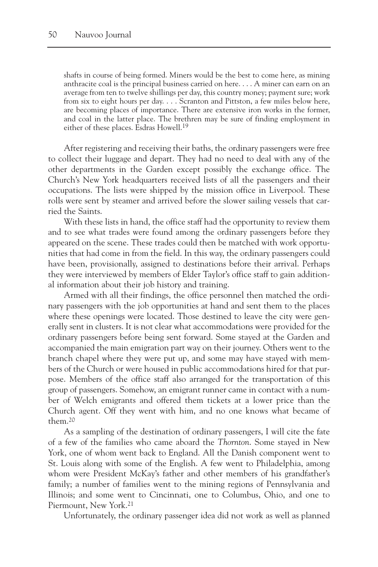shafts in course of being formed. Miners would be the best to come here, as mining anthracite coal is the principal business carried on here. . . . A miner can earn on an average from ten to twelve shillings per day, this country money; payment sure; work from six to eight hours per day. . . . Scranton and Pittston, a few miles below here, are becoming places of importance. There are extensive iron works in the former, and coal in the latter place. The brethren may be sure of finding employment in either of these places. Esdras Howell.19

After registering and receiving their baths, the ordinary passengers were free to collect their luggage and depart. They had no need to deal with any of the other departments in the Garden except possibly the exchange office. The Church's New York headquarters received lists of all the passengers and their occupations. The lists were shipped by the mission office in Liverpool. These rolls were sent by steamer and arrived before the slower sailing vessels that carried the Saints.

With these lists in hand, the office staff had the opportunity to review them and to see what trades were found among the ordinary passengers before they appeared on the scene. These trades could then be matched with work opportunities that had come in from the field. In this way, the ordinary passengers could have been, provisionally, assigned to destinations before their arrival. Perhaps they were interviewed by members of Elder Taylor's office staff to gain additional information about their job history and training.

Armed with all their findings, the office personnel then matched the ordinary passengers with the job opportunities at hand and sent them to the places where these openings were located. Those destined to leave the city were generally sent in clusters. It is not clear what accommodations were provided for the ordinary passengers before being sent forward. Some stayed at the Garden and accompanied the main emigration part way on their journey. Others went to the branch chapel where they were put up, and some may have stayed with members of the Church or were housed in public accommodations hired for that purpose. Members of the office staff also arranged for the transportation of this group of passengers. Somehow, an emigrant runner came in contact with a number of Welch emigrants and offered them tickets at a lower price than the Church agent. Off they went with him, and no one knows what became of them.20

As a sampling of the destination of ordinary passengers, I will cite the fate of a few of the families who came aboard the *Thornton*. Some stayed in New York, one of whom went back to England. All the Danish component went to St. Louis along with some of the English. A few went to Philadelphia, among whom were President McKay's father and other members of his grandfather's family; a number of families went to the mining regions of Pennsylvania and Illinois; and some went to Cincinnati, one to Columbus, Ohio, and one to Piermount, New York.21

Unfortunately, the ordinary passenger idea did not work as well as planned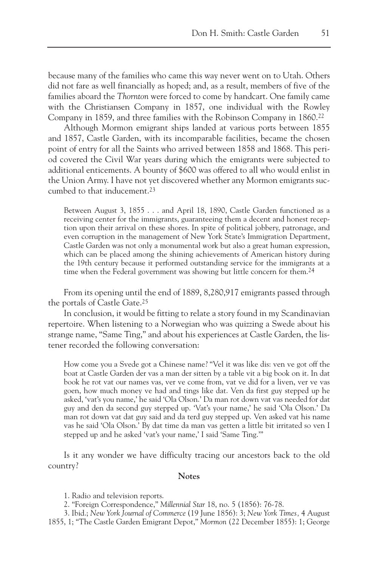because many of the families who came this way never went on to Utah. Others did not fare as well financially as hoped; and, as a result, members of five of the families aboard the *Thornton* were forced to come by handcart. One family came with the Christiansen Company in 1857, one individual with the Rowley Company in 1859, and three families with the Robinson Company in 1860.22

Although Mormon emigrant ships landed at various ports between 1855 and 1857, Castle Garden, with its incomparable facilities, became the chosen point of entry for all the Saints who arrived between 1858 and 1868. This period covered the Civil War years during which the emigrants were subjected to additional enticements. A bounty of \$600 was offered to all who would enlist in the Union Army. I have not yet discovered whether any Mormon emigrants succumbed to that inducement.23

Between August 3, 1855 . . . and April 18, 1890, Castle Garden functioned as a receiving center for the immigrants, guaranteeing them a decent and honest reception upon their arrival on these shores. In spite of political jobbery, patronage, and even corruption in the management of New York State's Immigration Department, Castle Garden was not only a monumental work but also a great human expression, which can be placed among the shining achievements of American history during the 19th century because it performed outstanding service for the immigrants at a time when the Federal government was showing but little concern for them.<sup>24</sup>

From its opening until the end of 1889, 8,280,917 emigrants passed through the portals of Castle Gate.25

In conclusion, it would be fitting to relate a story found in my Scandinavian repertoire. When listening to a Norwegian who was quizzing a Swede about his strange name, "Same Ting," and about his experiences at Castle Garden, the listener recorded the following conversation:

How come you a Svede got a Chinese name? "Vel it was like dis: ven ve got off the boat at Castle Garden der vas a man der sitten by a table vit a big book on it. In dat book he rot vat our names vas, ver ve come from, vat ve did for a liven, ver ve vas goen, how much money ve had and tings like dat. Ven da first guy stepped up he asked, 'vat's you name,' he said 'Ola Olson.' Da man rot down vat vas needed for dat guy and den da second guy stepped up. 'Vat's your name,' he said 'Ola Olson.' Da man rot down vat dat guy said and da terd guy stepped up. Ven asked vat his name vas he said 'Ola Olson.' By dat time da man vas getten a little bit irritated so ven I stepped up and he asked 'vat's your name,' I said 'Same Ting.'"

Is it any wonder we have difficulty tracing our ancestors back to the old country?

## **Notes**

1. Radio and television reports.

2. "Foreign Correspondence," *Millennial Star* 18, no. 5 (1856): 76-78.

3. Ibid.; *New York Journal of Commerce* (19 June 1856): 3; *New York Times,* 4 August 1855, 1; "The Castle Garden Emigrant Depot," *Mormon* (22 December 1855): 1; George